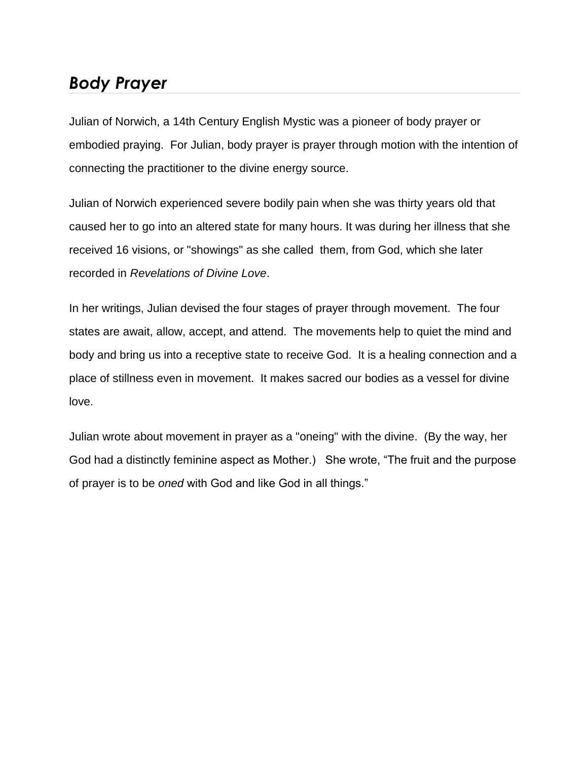## *Body Prayer*

Julian of Norwich, a 14th Century English Mystic was a pioneer of body prayer or embodied praying. For Julian, body prayer is prayer through motion with the intention of connecting the practitioner to the divine energy source.

Julian of Norwich experienced severe bodily pain when she was thirty years old that caused her to go into an altered state for many hours. It was during her illness that she received 16 visions, or "showings" as she called them, from God, which she later recorded in *Revelations of Divine Love*.

In her writings, Julian devised the four stages of prayer through movement. The four states are await, allow, accept, and attend. The movements help to quiet the mind and body and bring us into a receptive state to receive God. It is a healing connection and a place of stillness even in movement. It makes sacred our bodies as a vessel for divine love.

Julian wrote about movement in prayer as a "oneing" with the divine. (By the way, her God had a distinctly feminine aspect as Mother.) She wrote, "The fruit and the purpose of prayer is to be *oned* with God and like God in all things."